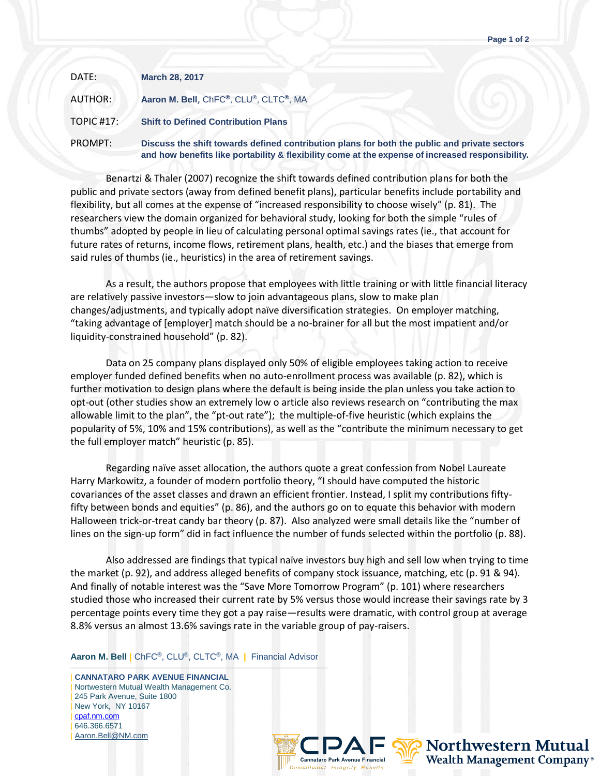| DATE:      | <b>March 28, 2017</b>                                                                                                                                                                            |
|------------|--------------------------------------------------------------------------------------------------------------------------------------------------------------------------------------------------|
| AUTHOR:    | Aaron M. Bell, ChFC®, CLU®, CLTC®, MA                                                                                                                                                            |
| TOPIC #17: | <b>Shift to Defined Contribution Plans</b>                                                                                                                                                       |
| PROMPT:    | Discuss the shift towards defined contribution plans for both the public and private sectors<br>and how benefits like portability & flexibility come at the expense of increased responsibility. |

Benartzi & Thaler (2007) recognize the shift towards defined contribution plans for both the public and private sectors (away from defined benefit plans), particular benefits include portability and flexibility, but all comes at the expense of "increased responsibility to choose wisely" (p. 81). The researchers view the domain organized for behavioral study, looking for both the simple "rules of thumbs" adopted by people in lieu of calculating personal optimal savings rates (ie., that account for future rates of returns, income flows, retirement plans, health, etc.) and the biases that emerge from said rules of thumbs (ie., heuristics) in the area of retirement savings.

As a result, the authors propose that employees with little training or with little financial literacy are relatively passive investors—slow to join advantageous plans, slow to make plan changes/adjustments, and typically adopt naïve diversification strategies. On employer matching, "taking advantage of [employer] match should be a no-brainer for all but the most impatient and/or liquidity-constrained household" (p. 82).

Data on 25 company plans displayed only 50% of eligible employees taking action to receive employer funded defined benefits when no auto-enrollment process was available (p. 82), which is further motivation to design plans where the default is being inside the plan unless you take action to opt-out (other studies show an extremely low o article also reviews research on "contributing the max allowable limit to the plan", the "pt-out rate"); the multiple-of-five heuristic (which explains the popularity of 5%, 10% and 15% contributions), as well as the "contribute the minimum necessary to get the full employer match" heuristic (p. 85).

Regarding naïve asset allocation, the authors quote a great confession from Nobel Laureate Harry Markowitz, a founder of modern portfolio theory, "I should have computed the historic covariances of the asset classes and drawn an efficient frontier. Instead, I split my contributions fiftyfifty between bonds and equities" (p. 86), and the authors go on to equate this behavior with modern Halloween trick-or-treat candy bar theory (p. 87). Also analyzed were small details like the "number of lines on the sign-up form" did in fact influence the number of funds selected within the portfolio (p. 88).

Also addressed are findings that typical naïve investors buy high and sell low when trying to time the market (p. 92), and address alleged benefits of company stock issuance, matching, etc (p. 91 & 94). And finally of notable interest was the "Save More Tomorrow Program" (p. 101) where researchers studied those who increased their current rate by 5% versus those would increase their savings rate by 3 percentage points every time they got a pay raise—results were dramatic, with control group at average 8.8% versus an almost 13.6% savings rate in the variable group of pay-raisers.

**Aaron M. Bell |** ChFC**®**, CLU®, CLTC**®**, MA **|** Financial Advisor

——————————————————————————————————— | **CANNATARO PARK AVENUE FINANCIAL** | Nortwestern Mutual Wealth Management Co. | 245 Park Avenue, Suite 1800 | New York, NY 10167 | [cpaf.nm.com](http://www.cpaf.nm.com/) | 646.366.6571 [Aaron.Bell@NM.com](mailto:Aaron.Bell@NM.com)